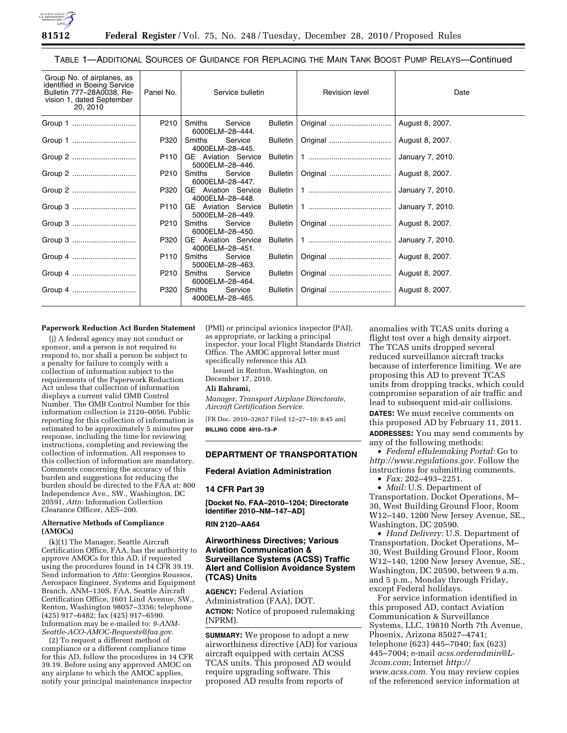

TABLE 1—ADDITIONAL SOURCES OF GUIDANCE FOR REPLACING THE MAIN TANK BOOST PUMP RELAYS—Continued

| Group No. of airplanes, as<br>identified in Boeing Service<br>Bulletin 777-28A0038, Re-<br>vision 1, dated September<br>20, 2010 | Panel No. | Service bulletin                              |                 | Revision level | Date             |
|----------------------------------------------------------------------------------------------------------------------------------|-----------|-----------------------------------------------|-----------------|----------------|------------------|
| Group 1                                                                                                                          | P210      | Smiths<br>Service<br>6000ELM-28-444.          | Bulletin        | Original       | August 8, 2007.  |
| Group 1                                                                                                                          | P320      | Service<br>Smiths<br>4000ELM-28-445.          | <b>Bulletin</b> | Original       | August 8, 2007.  |
| Group 2                                                                                                                          | P110      | <b>GE</b> Aviation Service<br>5000ELM-28-446. | <b>Bulletin</b> |                | January 7, 2010. |
| Group 2                                                                                                                          | P210      | Smiths<br>Service<br>6000ELM-28-447.          | Bulletin        | Original       | August 8, 2007.  |
| Group 2                                                                                                                          | P320      | <b>GE</b> Aviation Service<br>4000ELM-28-448. | <b>Bulletin</b> |                | January 7, 2010. |
| Group 3                                                                                                                          | P110      | <b>GE</b> Aviation Service<br>5000ELM-28-449. | <b>Bulletin</b> |                | January 7, 2010. |
| Group 3                                                                                                                          | P210      | Smiths<br>Service<br>6000ELM-28-450.          | Bulletin        |                | August 8, 2007.  |
| Group 3                                                                                                                          | P320      | <b>GE</b> Aviation Service<br>4000ELM-28-451. | Bulletin        |                | January 7, 2010. |
| Group 4                                                                                                                          | P110      | Service<br>Smiths<br>5000ELM-28-463.          | Bulletin        |                | August 8, 2007.  |
| Group 4                                                                                                                          | P210      | Smiths<br>Service<br>6000ELM-28-464.          | <b>Bulletin</b> |                | August 8, 2007.  |
|                                                                                                                                  | P320      | Smiths<br>Service<br>4000ELM-28-465.          | <b>Bulletin</b> |                | August 8, 2007.  |

#### **Paperwork Reduction Act Burden Statement**

(j) A federal agency may not conduct or sponsor, and a person is not required to respond to, nor shall a person be subject to a penalty for failure to comply with a collection of information subject to the requirements of the Paperwork Reduction Act unless that collection of information displays a current valid OMB Control Number. The OMB Control Number for this information collection is 2120–0056. Public reporting for this collection of information is estimated to be approximately 5 minutes per response, including the time for reviewing instructions, completing and reviewing the collection of information. All responses to this collection of information are mandatory. Comments concerning the accuracy of this burden and suggestions for reducing the burden should be directed to the FAA at: 800 Independence Ave., SW., Washington, DC 20591, *Attn:* Information Collection Clearance Officer, AES–200.

## **Alternative Methods of Compliance (AMOCs)**

(k)(1) The Manager, Seattle Aircraft Certification Office, FAA, has the authority to approve AMOCs for this AD, if requested using the procedures found in 14 CFR 39.19. Send information to *Attn:* Georgios Roussos, Aerospace Engineer, Systems and Equipment Branch, ANM–130S, FAA, Seattle Aircraft Certification Office, 1601 Lind Avenue, SW., Renton, Washington 98057–3356; telephone (425) 917–6482; fax (425) 917–6590. Information may be e-mailed to: *[9-ANM-](mailto:9-ANM-Seattle-ACO-AMOC-Requests@faa.gov)[Seattle-ACO-AMOC-Requests@faa.gov](mailto:9-ANM-Seattle-ACO-AMOC-Requests@faa.gov)*.

(2) To request a different method of compliance or a different compliance time for this AD, follow the procedures in 14 CFR 39.19. Before using any approved AMOC on any airplane to which the AMOC applies, notify your principal maintenance inspector

(PMI) or principal avionics inspector (PAI), as appropriate, or lacking a principal inspector, your local Flight Standards District Office. The AMOC approval letter must specifically reference this AD.

Issued in Renton, Washington, on December 17, 2010.

#### **Ali Bahrami,**

*Manager, Transport Airplane Directorate, Aircraft Certification Service.* 

[FR Doc. 2010–32657 Filed 12–27–10; 8:45 am] **BILLING CODE 4910–13–P** 

## **DEPARTMENT OF TRANSPORTATION**

### **Federal Aviation Administration**

## **14 CFR Part 39**

**[Docket No. FAA–2010–1204; Directorate Identifier 2010–NM–147–AD]** 

## **RIN 2120–AA64**

# **Airworthiness Directives; Various Aviation Communication & Surveillance Systems (ACSS) Traffic Alert and Collision Avoidance System (TCAS) Units**

**AGENCY:** Federal Aviation Administration (FAA), DOT. **ACTION:** Notice of proposed rulemaking (NPRM).

**SUMMARY:** We propose to adopt a new airworthiness directive (AD) for various aircraft equipped with certain ACSS TCAS units. This proposed AD would require upgrading software. This proposed AD results from reports of

anomalies with TCAS units during a flight test over a high density airport. The TCAS units dropped several reduced surveillance aircraft tracks because of interference limiting. We are proposing this AD to prevent TCAS units from dropping tracks, which could compromise separation of air traffic and lead to subsequent mid-air collisions. **DATES:** We must receive comments on this proposed AD by February 11, 2011. **ADDRESSES:** You may send comments by any of the following methods:

• *Federal eRulemaking Portal:* Go to *[http://www.regulations.gov.](http://www.regulations.gov)* Follow the instructions for submitting comments.

• *Fax:* 202–493–2251.

• *Mail:* U.S. Department of Transportation, Docket Operations, M– 30, West Building Ground Floor, Room W12–140, 1200 New Jersey Avenue, SE., Washington, DC 20590.

• *Hand Delivery:* U.S. Department of Transportation, Docket Operations, M– 30, West Building Ground Floor, Room W12–140, 1200 New Jersey Avenue, SE., Washington, DC 20590, between 9 a.m. and 5 p.m., Monday through Friday, except Federal holidays.

For service information identified in this proposed AD, contact Aviation Communication & Surveillance Systems, LLC, 19810 North 7th Avenue, Phoenix, Arizona 85027–4741; telephone (623) 445–7040; fax (623) 445–7004; e-mail *[acss.orderadmin@L-](mailto:acss.orderadmin@L-3com.com)[3com.com;](mailto:acss.orderadmin@L-3com.com)* Internet *[http://](http://www.acss.com)  [www.acss.com.](http://www.acss.com)* You may review copies of the referenced service information at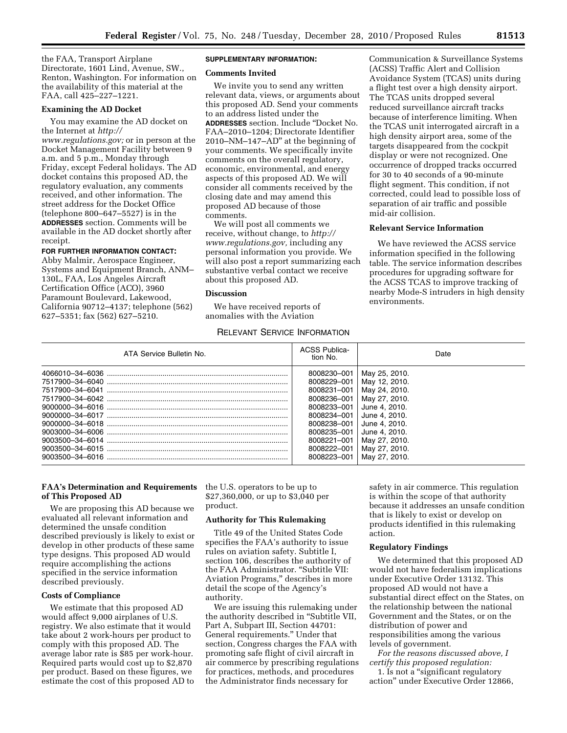the FAA, Transport Airplane Directorate, 1601 Lind, Avenue, SW., Renton, Washington. For information on the availability of this material at the FAA, call 425–227–1221.

## **Examining the AD Docket**

You may examine the AD docket on the Internet at *[http://](http://www.regulations.gov)* 

*[www.regulations.gov;](http://www.regulations.gov)* or in person at the Docket Management Facility between 9 a.m. and 5 p.m., Monday through Friday, except Federal holidays. The AD docket contains this proposed AD, the regulatory evaluation, any comments received, and other information. The street address for the Docket Office (telephone 800–647–5527) is in the **ADDRESSES** section. Comments will be available in the AD docket shortly after receipt.

#### **FOR FURTHER INFORMATION CONTACT:**

Abby Malmir, Aerospace Engineer, Systems and Equipment Branch, ANM– 130L, FAA, Los Angeles Aircraft Certification Office (ACO), 3960 Paramount Boulevard, Lakewood, California 90712–4137; telephone (562) 627–5351; fax (562) 627–5210.

# **SUPPLEMENTARY INFORMATION:**

### **Comments Invited**

We invite you to send any written relevant data, views, or arguments about this proposed AD. Send your comments to an address listed under the **ADDRESSES** section. Include ''Docket No. FAA–2010–1204; Directorate Identifier 2010–NM–147–AD'' at the beginning of your comments. We specifically invite comments on the overall regulatory, economic, environmental, and energy aspects of this proposed AD. We will consider all comments received by the closing date and may amend this proposed AD because of those comments.

We will post all comments we receive, without change, to *[http://](http://www.regulations.gov) [www.regulations.gov,](http://www.regulations.gov)* including any personal information you provide. We will also post a report summarizing each substantive verbal contact we receive about this proposed AD.

## **Discussion**

We have received reports of anomalies with the Aviation

# RELEVANT SERVICE INFORMATION

Communication & Surveillance Systems (ACSS) Traffic Alert and Collision Avoidance System (TCAS) units during a flight test over a high density airport. The TCAS units dropped several reduced surveillance aircraft tracks because of interference limiting. When the TCAS unit interrogated aircraft in a high density airport area, some of the targets disappeared from the cockpit display or were not recognized. One occurrence of dropped tracks occurred for 30 to 40 seconds of a 90-minute flight segment. This condition, if not corrected, could lead to possible loss of separation of air traffic and possible mid-air collision.

## **Relevant Service Information**

We have reviewed the ACSS service information specified in the following table. The service information describes procedures for upgrading software for the ACSS TCAS to improve tracking of nearby Mode-S intruders in high density environments.

| ATA Service Bulletin No.                                                                                       | <b>ACSS Publica-</b><br>tion No.                                                                                                                                  | Date                                                                                                                                                                                    |
|----------------------------------------------------------------------------------------------------------------|-------------------------------------------------------------------------------------------------------------------------------------------------------------------|-----------------------------------------------------------------------------------------------------------------------------------------------------------------------------------------|
| 4066010-34-6036<br>7517900-34-6041<br>9000000-34-6016<br>9000000-34-6018<br>9003500-34-6015<br>9003500-34-6016 | 8008230-001<br>8008229-001<br>8008231-001<br>8008236-001<br>8008233-001<br>8008234-001<br>8008238-001<br>8008235-001<br>8008221-001<br>8008222-001<br>8008223-001 | May 25, 2010.<br>May 12, 2010.<br>May 24, 2010.<br>May 27, 2010.<br>June 4, 2010.<br>June 4, 2010.<br>June 4, 2010.<br>June 4, 2010.<br>May 27, 2010.<br>May 27, 2010.<br>May 27, 2010. |

## **FAA's Determination and Requirements of This Proposed AD**

We are proposing this AD because we evaluated all relevant information and determined the unsafe condition described previously is likely to exist or develop in other products of these same type designs. This proposed AD would require accomplishing the actions specified in the service information described previously.

## **Costs of Compliance**

We estimate that this proposed AD would affect 9,000 airplanes of U.S. registry. We also estimate that it would take about 2 work-hours per product to comply with this proposed AD. The average labor rate is \$85 per work-hour. Required parts would cost up to \$2,870 per product. Based on these figures, we estimate the cost of this proposed AD to the U.S. operators to be up to \$27,360,000, or up to \$3,040 per product.

### **Authority for This Rulemaking**

Title 49 of the United States Code specifies the FAA's authority to issue rules on aviation safety. Subtitle I, section 106, describes the authority of the FAA Administrator. ''Subtitle VII: Aviation Programs,'' describes in more detail the scope of the Agency's authority.

We are issuing this rulemaking under the authority described in ''Subtitle VII, Part A, Subpart III, Section 44701: General requirements.'' Under that section, Congress charges the FAA with promoting safe flight of civil aircraft in air commerce by prescribing regulations for practices, methods, and procedures the Administrator finds necessary for

safety in air commerce. This regulation is within the scope of that authority because it addresses an unsafe condition that is likely to exist or develop on products identified in this rulemaking action.

## **Regulatory Findings**

We determined that this proposed AD would not have federalism implications under Executive Order 13132. This proposed AD would not have a substantial direct effect on the States, on the relationship between the national Government and the States, or on the distribution of power and responsibilities among the various levels of government.

*For the reasons discussed above, I certify this proposed regulation:* 

1. Is not a ''significant regulatory action'' under Executive Order 12866,